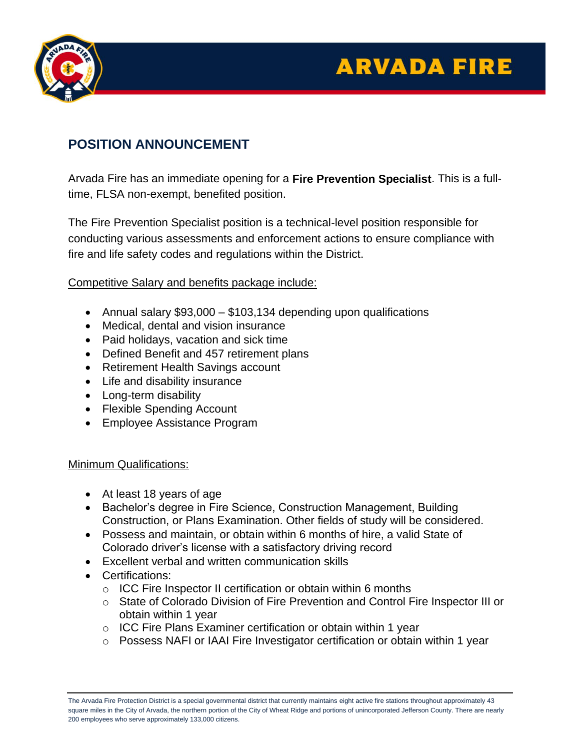# **ARVADA FIRE**



## **POSITION ANNOUNCEMENT**

Arvada Fire has an immediate opening for a **Fire Prevention Specialist**. This is a fulltime, FLSA non-exempt, benefited position.

The Fire Prevention Specialist position is a technical-level position responsible for conducting various assessments and enforcement actions to ensure compliance with fire and life safety codes and regulations within the District.

Competitive Salary and benefits package include:

- Annual salary \$93,000 \$103,134 depending upon qualifications
- Medical, dental and vision insurance
- Paid holidays, vacation and sick time
- Defined Benefit and 457 retirement plans
- Retirement Health Savings account
- Life and disability insurance
- Long-term disability
- Flexible Spending Account
- Employee Assistance Program

#### Minimum Qualifications:

- At least 18 years of age
- Bachelor's degree in Fire Science, Construction Management, Building Construction, or Plans Examination. Other fields of study will be considered.
- Possess and maintain, or obtain within 6 months of hire, a valid State of Colorado driver's license with a satisfactory driving record
- Excellent verbal and written communication skills
- Certifications:
	- $\circ$  ICC Fire Inspector II certification or obtain within 6 months
	- o State of Colorado Division of Fire Prevention and Control Fire Inspector III or obtain within 1 year
	- o ICC Fire Plans Examiner certification or obtain within 1 year
	- o Possess NAFI or IAAI Fire Investigator certification or obtain within 1 year

The Arvada Fire Protection District is a special governmental district that currently maintains eight active fire stations throughout approximately 43 square miles in the City of Arvada, the northern portion of the City of Wheat Ridge and portions of unincorporated Jefferson County. There are nearly 200 employees who serve approximately 133,000 citizens.